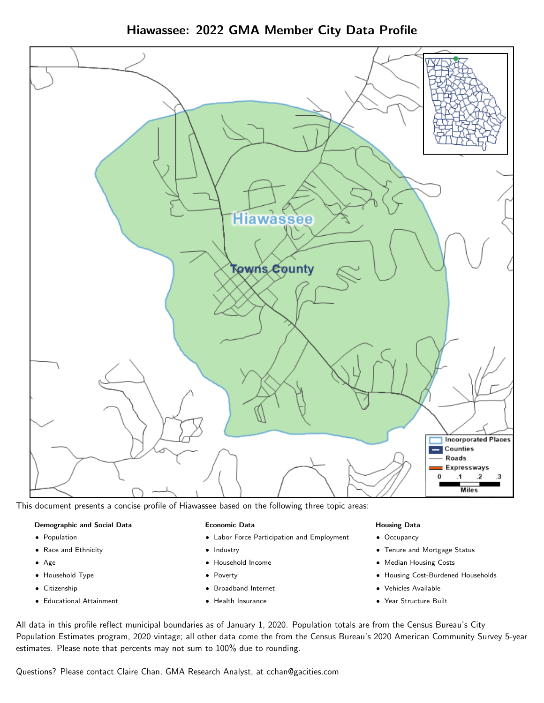Hiawassee: 2022 GMA Member City Data Profile



This document presents a concise profile of Hiawassee based on the following three topic areas:

#### Demographic and Social Data

- **•** Population
- Race and Ethnicity
- Age
- Household Type
- **Citizenship**
- Educational Attainment

#### Economic Data

- Labor Force Participation and Employment
- Industry
- Household Income
- Poverty
- Broadband Internet
- Health Insurance

### Housing Data

- Occupancy
- Tenure and Mortgage Status
- Median Housing Costs
- Housing Cost-Burdened Households
- Vehicles Available
- Year Structure Built

All data in this profile reflect municipal boundaries as of January 1, 2020. Population totals are from the Census Bureau's City Population Estimates program, 2020 vintage; all other data come the from the Census Bureau's 2020 American Community Survey 5-year estimates. Please note that percents may not sum to 100% due to rounding.

Questions? Please contact Claire Chan, GMA Research Analyst, at [cchan@gacities.com.](mailto:cchan@gacities.com)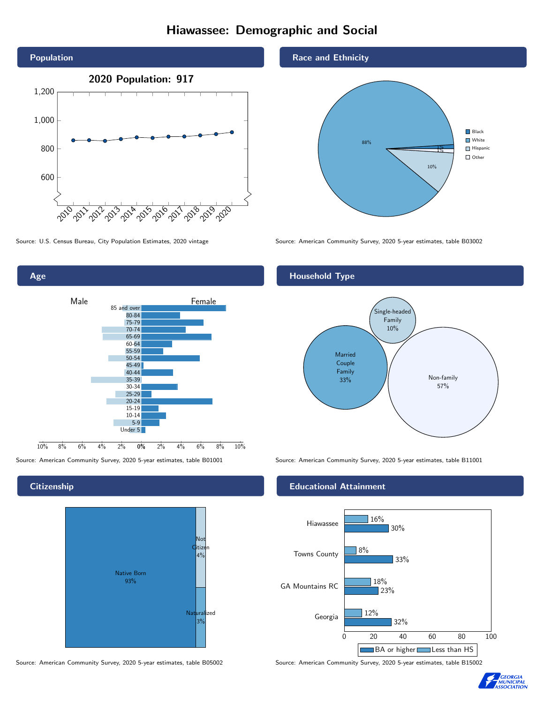# Hiawassee: Demographic and Social





**Citizenship** 

Age



Source: American Community Survey, 2020 5-year estimates, table B05002 Source: American Community Survey, 2020 5-year estimates, table B15002

Race and Ethnicity



Source: U.S. Census Bureau, City Population Estimates, 2020 vintage Source: American Community Survey, 2020 5-year estimates, table B03002

## Household Type



Source: American Community Survey, 2020 5-year estimates, table B01001 Source: American Community Survey, 2020 5-year estimates, table B11001

### Educational Attainment



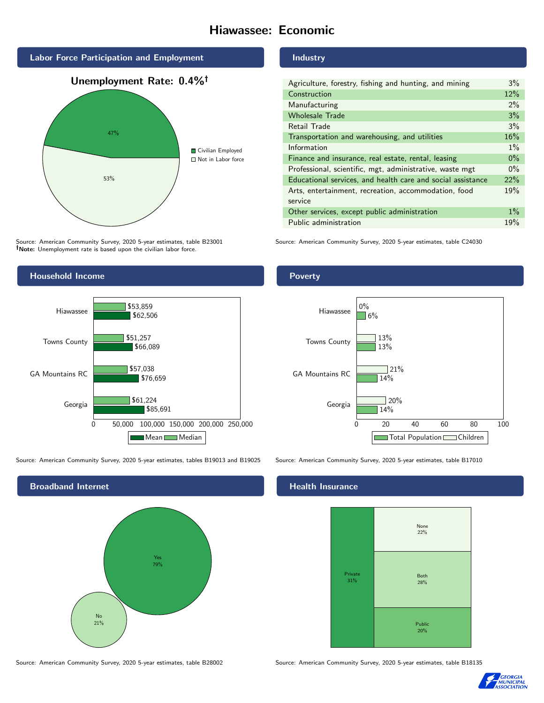# Hiawassee: Economic



Source: American Community Survey, 2020 5-year estimates, table B23001 Note: Unemployment rate is based upon the civilian labor force.





Source: American Community Survey, 2020 5-year estimates, tables B19013 and B19025 Source: American Community Survey, 2020 5-year estimates, table B17010



Source: American Community Survey, 2020 5-year estimates, table B28002 Source: American Community Survey, 2020 5-year estimates, table B18135

Industry

| Agriculture, forestry, fishing and hunting, and mining      | $3\%$ |
|-------------------------------------------------------------|-------|
| Construction                                                | 12%   |
| Manufacturing                                               | $2\%$ |
| <b>Wholesale Trade</b>                                      | 3%    |
| Retail Trade                                                | 3%    |
| Transportation and warehousing, and utilities               | 16%   |
| Information                                                 | $1\%$ |
| Finance and insurance, real estate, rental, leasing         | $0\%$ |
| Professional, scientific, mgt, administrative, waste mgt    | $0\%$ |
| Educational services, and health care and social assistance | 22%   |
| Arts, entertainment, recreation, accommodation, food        | 19%   |
| service                                                     |       |
| Other services, except public administration                | $1\%$ |
| Public administration                                       | 19%   |

Source: American Community Survey, 2020 5-year estimates, table C24030





## **Health Insurance**